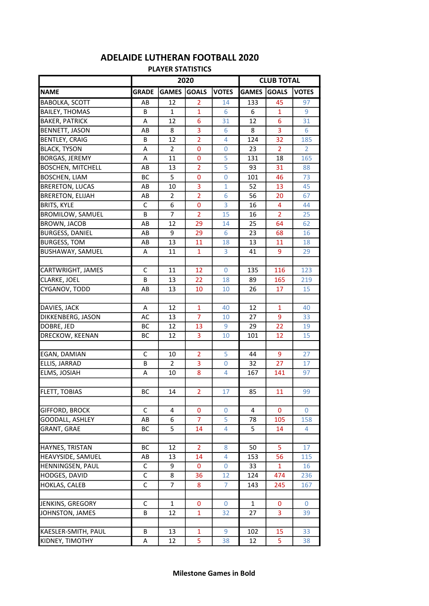## NAME GRADE GAMES GOALS VOTES GAMES GOALS VOTES **BABOLKA, SCOTT** AB 12 2 14 133 45 97 BAILEY, THOMAS B B 1 1 1 6 6 1 9 **BAKER, PATRICK A 4 12 6 31 12 6 31** BENNETT, JASON AB 8 3 6 8 3 6 BENTLEY, CRAIG **B** B 12 2 4 124 32 185 BLACK, TYSON A 2 0 0 23 2 2 BORGAS, JEREMY A 11 0 5 131 18 165 BOSCHEN, MITCHELL **AB** 13 2 5 93 31 88 **BOSCHEN, LIAM BC** 5 0 0 101 46 73 **BRERETON, LUCAS AB** 10 3 1 52 13 45 BRERETON, ELIJAH **AB** 2 2 4 6 56 20 67 BRITS, KYLE C 6 0 3 16 4 44 BROMILOW, SAMUEL **B** | 7 | 2 | 15 | 16 | 2 | 25 BROWN, JACOB AB 12 29 14 25 64 62 BURGESS, DANIEL AB 9 29 6 23 68 16 **BURGESS. TOM AB 13 11** 18 **13 11** 18 BUSHAWAY, SAMUEL **A** 11 1 3 41 9 29 CARTWRIGHT, JAMES C 11 12 0 135 116 123 CLARKE, JOEL B 13 22 18 89 165 219 CYGANOV, TODD AB 13 10 10 26 17 15 **DAVIES, JACK A 12 1 1 40 12 1 40** DIKKENBERG, JASON | AC | 13 | 7 | 10 | 27 | 9 | 33 **DOBRE, JED BC BC 12 13 9 29 22** 19 **DRECKOW, KEENAN BC 12 3** 10 101 12 15 EGAN, DAMIAN C 10 2 5 44 9 27 ELLIS, JARRAD B 2 3 0 32 27 17 **ELMS, JOSIAH A 10 8 4 167 141** 97 FLETT, TOBIAS BC 14 2 17 85 11 99 GIFFORD, BROCK C 4 0 0 4 0 0 GOODALL, ASHLEY AB 6 7 5 78 105 158 GRANT, GRAE BC 5 14 4 5 14 4 HAYNES, TRISTAN BC 12 2 8 50 5 17 HEAVYSIDE, SAMUEL AB 13 14 4 153 56 115 HENNINGSEN, PAUL C 9 0 0 33 1 1 16 HODGES, DAVID C 8 36 12 124 474 236 HOKLAS, CALEB C 7 8 7 143 245 167 JENKINS, GREGORY C 1 0 0 1 0 0 JOHNSTON, JAMES **B** B 12 1 32 27 3 39 KAESLER-SMITH, PAUL B 33 13 1 9 102 15 33 KIDNEY, TIMOTHY A 12 5 38 12 5 38 2020 CLUB TOTAL

## PLAYER STATISTICS ADELAIDE LUTHERAN FOOTBALL 2020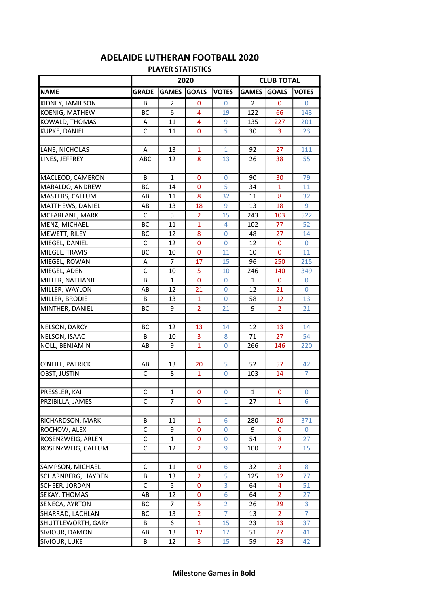| <b>PLAYER STATISTICS</b> |              |                |                |                |                   |                |              |  |  |  |  |  |
|--------------------------|--------------|----------------|----------------|----------------|-------------------|----------------|--------------|--|--|--|--|--|
|                          | 2020         |                |                |                | <b>CLUB TOTAL</b> |                |              |  |  |  |  |  |
| <b>NAME</b>              | <b>GRADE</b> | <b>GAMES</b>   | <b>GOALS</b>   | <b>VOTES</b>   | <b>GAMES</b>      | <b>GOALS</b>   | <b>VOTES</b> |  |  |  |  |  |
| KIDNEY, JAMIESON         | В            | 2              | 0              | 0              | 2                 | 0              | 0            |  |  |  |  |  |
| KOENIG, MATHEW           | BС           | 6              | 4              | 19             | 122               | 66             | 143          |  |  |  |  |  |
| KOWALD, THOMAS           | A            | 11             | 4              | 9              | 135               | 227            | 201          |  |  |  |  |  |
| KUPKE, DANIEL            | C            | 11             | 0              | 5              | 30                | 3              | 23           |  |  |  |  |  |
|                          |              |                |                |                |                   |                |              |  |  |  |  |  |
| LANE, NICHOLAS           | A            | 13             | $\mathbf{1}$   | $\mathbf{1}$   | 92                | 27             | 111          |  |  |  |  |  |
| LINES, JEFFREY           | ABC          | 12             | 8              | 13             | 26                | 38             | 55           |  |  |  |  |  |
|                          |              |                |                |                |                   |                |              |  |  |  |  |  |
| MACLEOD, CAMERON         | В            | $\mathbf{1}$   | 0              | 0              | 90                | 30             | 79           |  |  |  |  |  |
| MARALDO, ANDREW          | ВC           | 14             | 0              | 5              | 34                | $\mathbf{1}$   | 11           |  |  |  |  |  |
| MASTERS, CALLUM          | AB           | 11             | 8              | 32             | 11                | 8              | 32           |  |  |  |  |  |
| MATTHEWS, DANIEL         | AB           | 13             | 18             | 9              | 13                | 18             | 9            |  |  |  |  |  |
| MCFARLANE, MARK          | C            | 5              | 2              | 15             | 243               | 103            | 522          |  |  |  |  |  |
| MENZ, MICHAEL            | BС           | 11             | 1              | 4              | 102               | 77             | 52           |  |  |  |  |  |
| MEWETT, RILEY            | <b>BC</b>    | 12             | 8              | 0              | 48                | 27             | 14           |  |  |  |  |  |
| MIEGEL, DANIEL           | C            | 12             | 0              | $\Omega$       | 12                | 0              | $\mathbf{0}$ |  |  |  |  |  |
| MIEGEL, TRAVIS           | <b>BC</b>    | 10             | 0              | 11             | 10                | $\mathbf 0$    | 11           |  |  |  |  |  |
| MIEGEL, ROWAN            | A            | 7              | 17             | 15             | 96                | 250            | 215          |  |  |  |  |  |
| MIEGEL, ADEN             | C            | 10             | 5              | 10             | 246               | 140            | 349          |  |  |  |  |  |
| MILLER, NATHANIEL        | В            | $\mathbf{1}$   | 0              | 0              | 1                 | 0              | 0            |  |  |  |  |  |
| MILLER, WAYLON           | AB           | 12             | 21             | 0              | 12                | 21             | 0            |  |  |  |  |  |
| MILLER, BRODIE           | B            | 13             | $\mathbf{1}$   | $\Omega$       | 58                | 12             | 13           |  |  |  |  |  |
| MINTHER, DANIEL          | ВC           | 9              | $\overline{2}$ | 21             | 9                 | $\overline{2}$ | 21           |  |  |  |  |  |
|                          |              |                |                |                |                   |                |              |  |  |  |  |  |
| NELSON, DARCY            | BС           | 12             | 13             | 14             | 12                | 13             | 14           |  |  |  |  |  |
| NELSON, ISAAC            | B            | 10             | 3              | 8              | 71                | 27             | 54           |  |  |  |  |  |
| NOLL, BENJAMIN           | AB           | 9              | $\mathbf{1}$   | 0              | 266               | 146            | 220          |  |  |  |  |  |
|                          |              |                |                |                |                   |                |              |  |  |  |  |  |
| O'NEILL, PATRICK         | AB           | 13             | 20             | 5              | 52                | 57             | 42           |  |  |  |  |  |
| OBST, JUSTIN             | C            | 8              | 1              | $\overline{0}$ | 103               | 14             | 7            |  |  |  |  |  |
|                          |              |                |                |                |                   |                |              |  |  |  |  |  |
| PRESSLER, KAI            | С            | 1              | 0              | 0              | 1                 | 0              | 0            |  |  |  |  |  |
| PRZIBILLA, JAMES         | C            | $\overline{7}$ | 0              | $\mathbf{1}$   | 27                | 1              | 6            |  |  |  |  |  |
| RICHARDSON, MARK         | В            | 11             | 1              | 6              | 280               | 20             | 371          |  |  |  |  |  |
| ROCHOW, ALEX             | C            | 9              | 0              | 0              | 9                 |                | 0            |  |  |  |  |  |
|                          |              |                |                |                |                   | 0              |              |  |  |  |  |  |
| ROSENZWEIG, ARLEN        | C            | $\mathbf{1}$   | 0              | 0              | 54                | 8              | 27           |  |  |  |  |  |
| ROSENZWEIG, CALLUM       | С            | 12             | $\overline{2}$ | 9              | 100               | $\overline{2}$ | 15           |  |  |  |  |  |
| SAMPSON, MICHAEL         | C            | 11             | 0              | 6              | 32                | 3              | 8            |  |  |  |  |  |
| SCHARNBERG, HAYDEN       | В            | 13             | 2              | 5              | 125               | 12             | 77           |  |  |  |  |  |
| SCHEER, JORDAN           | C            | 5              | 0              | 3              | 64                | 4              | 51           |  |  |  |  |  |
| SEKAY, THOMAS            | AB           | 12             | 0              | 6              | 64                | $\overline{2}$ | 27           |  |  |  |  |  |
| SENECA, AYRTON           | ВC           | 7              | 5              | $\overline{2}$ | 26                | 29             | 3            |  |  |  |  |  |
| SHARRAD, LACHLAN         | ВC           | 13             | 2              | 7              | 13                | $\overline{2}$ | 7            |  |  |  |  |  |
| SHUTTLEWORTH, GARY       | В            | 6              | 1              | 15             | 23                | 13             | 37           |  |  |  |  |  |
| SIVIOUR, DAMON           | AB           | 13             | 12             | 17             | 51                | 27             | 41           |  |  |  |  |  |
| SIVIOUR, LUKE            | B            | 12             | 3              | 15             | 59                | 23             | 42           |  |  |  |  |  |
|                          |              |                |                |                |                   |                |              |  |  |  |  |  |

## ADELAIDE LUTHERAN FOOTBALL 2020